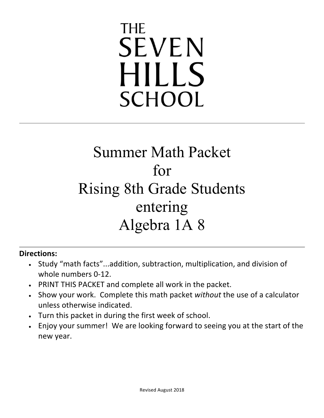# **THE SEVEN HILLS SCHOOL**

# Summer Math Packet for Rising 8th Grade Students entering Algebra 1A 8

### **Directions:**

- Study "math facts"...addition, subtraction, multiplication, and division of whole numbers 0-12.
- PRINT THIS PACKET and complete all work in the packet.
- Show your work. Complete this math packet without the use of a calculator unless otherwise indicated.
- Turn this packet in during the first week of school.
- Enjoy your summer! We are looking forward to seeing you at the start of the new year.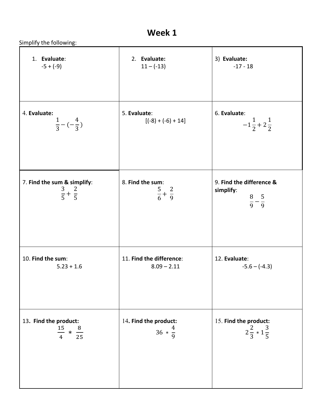Simplify the following:

| 1. Evaluate:                                               | 2. Evaluate:                                  | 3) Evaluate:                                                         |
|------------------------------------------------------------|-----------------------------------------------|----------------------------------------------------------------------|
| $-5 + (-9)$                                                | $11 - (-13)$                                  | $-17 - 18$                                                           |
| 4. Evaluate:                                               | 5. Evaluate:                                  | 6. Evaluate:                                                         |
| $rac{1}{3} - (-\frac{4}{3})$                               | $[(-8) + (-6) + 14]$                          | $-1\frac{1}{2}+2\frac{1}{2}$                                         |
| 7. Find the sum & simplify:<br>$\frac{3}{5} + \frac{2}{5}$ | 8. Find the sum:<br>$rac{5}{6} + \frac{2}{9}$ | 9. Find the difference &<br>simplify:<br>$\frac{8}{9} - \frac{5}{9}$ |
| 10. Find the sum:                                          | 11. Find the difference:                      | 12. Evaluate:                                                        |
| $5.23 + 1.6$                                               | $8.09 - 2.11$                                 | $-5.6 - (-4.3)$                                                      |
| 13. Find the product:                                      | 14. Find the product:                         | 15. Find the product:                                                |
| $\frac{15}{4} * \frac{8}{25}$                              | $36 * \frac{4}{9}$                            | $2\frac{2}{3} * 1\frac{3}{5}$                                        |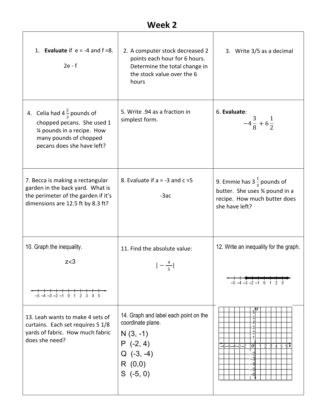| 1. Evaluate if $e = -4$ and $f = 8$ .<br>$2e - f$                                                                                                          | 2. A computer stock decreased 2<br>points each hour for 6 hours.<br>Determine the total change in<br>the stock value over the 6<br>hours | 3. Write 3/5 as a decimal                                                                                                  |
|------------------------------------------------------------------------------------------------------------------------------------------------------------|------------------------------------------------------------------------------------------------------------------------------------------|----------------------------------------------------------------------------------------------------------------------------|
| 4. Celia had $4\frac{2}{3}$ pounds of<br>chopped pecans. She used 1<br>1⁄4 pounds in a recipe. How<br>many pounds of chopped<br>pecans does she have left? | 5. Write .94 as a fraction in<br>simplest form.                                                                                          | 6. Evaluate:<br>$-4\frac{3}{8}+6\frac{1}{2}$                                                                               |
| 7. Becca is making a rectangular<br>garden in the back yard. What is<br>the perimeter of the garden if it's<br>dimensions are 12.5 ft by 8.3 ft?           | 8. Evaluate if $a = -3$ and $c = 5$<br>$-3ac$                                                                                            | 9. Emmie has $3\frac{1}{3}$ pounds of<br>butter. She uses 3⁄4 pound in a<br>recipe. How much butter does<br>she have left? |
| 10. Graph the inequality.                                                                                                                                  | 11. Find the absolute value:                                                                                                             | 12. Write an inequality for the graph.                                                                                     |
| z<3                                                                                                                                                        |                                                                                                                                          | $-5$ $-4$ $-3$ $-2$ $-1$ 0 1 2                                                                                             |
| $2\overline{3}$<br>$-5$ $-4$ $-3$ $-2$ $-1$ 0 1                                                                                                            |                                                                                                                                          |                                                                                                                            |
| 13. Leah wants to make 4 sets of<br>curtains. Each set requires 5 1/8<br>yards of fabric. How much fabric<br>does she need?                                | 14. Graph and label each point on the<br>coordinate plane.<br>$N(3, -1)$<br>$P(-2, 4)$<br>$Q(-3, -4)$<br>R(0,0)<br>$S( -5, 0)$           | $-6 - 5 - 4 - 3 - 2$<br>23456x<br>о                                                                                        |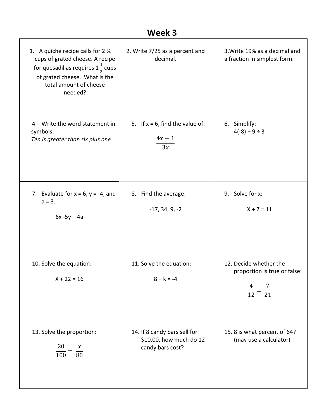| Week 3                                                                                                                                                                                               |                                                                             |                                                                                         |  |
|------------------------------------------------------------------------------------------------------------------------------------------------------------------------------------------------------|-----------------------------------------------------------------------------|-----------------------------------------------------------------------------------------|--|
| 1. A quiche recipe calls for $2\frac{3}{4}$<br>cups of grated cheese. A recipe<br>for quesadillas requires $1\frac{1}{3}$ cups<br>of grated cheese. What is the<br>total amount of cheese<br>needed? | 2. Write 7/25 as a percent and<br>decimal.                                  | 3. Write 19% as a decimal and<br>a fraction in simplest form.                           |  |
| 4. Write the word statement in<br>symbols:<br>Ten is greater than six plus one                                                                                                                       | 5. If $x = 6$ , find the value of:<br>$4x - 1$<br>3x                        | 6. Simplify:<br>$4(-8) + 9 \div 3$                                                      |  |
| 7. Evaluate for $x = 6$ , $y = -4$ , and<br>$a = 3.$<br>$6x - 5y + 4a$                                                                                                                               | 8. Find the average:<br>$-17, 34, 9, -2$                                    | 9. Solve for x:<br>$X + 7 = 11$                                                         |  |
| 10. Solve the equation:<br>$X + 22 = 16$                                                                                                                                                             | 11. Solve the equation:<br>$8 + k = -4$                                     | 12. Decide whether the<br>proportion is true or false:<br>$\frac{4}{12} = \frac{7}{21}$ |  |
| 13. Solve the proportion:<br>$\frac{20}{100} = \frac{x}{80}$                                                                                                                                         | 14. If 8 candy bars sell for<br>\$10.00, how much do 12<br>candy bars cost? | 15.8 is what percent of 64?<br>(may use a calculator)                                   |  |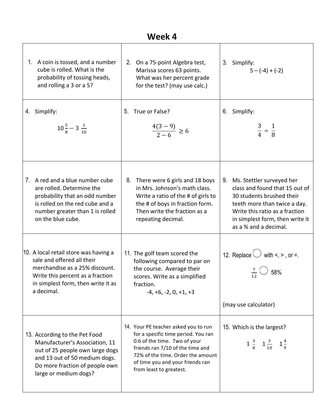| Week 4                                                                                                                                                                                         |                                                                                                                                                                                                                                                     |                                                                                                                                                                                                                              |  |
|------------------------------------------------------------------------------------------------------------------------------------------------------------------------------------------------|-----------------------------------------------------------------------------------------------------------------------------------------------------------------------------------------------------------------------------------------------------|------------------------------------------------------------------------------------------------------------------------------------------------------------------------------------------------------------------------------|--|
| A coin is tossed, and a number<br>1.<br>cube is rolled. What is the<br>probability of tossing heads,<br>and rolling a 3 or a 5?                                                                | On a 75-point Algebra test,<br>2.<br>Marissa scores 63 points.<br>What was her percent grade<br>for the test? (may use calc.)                                                                                                                       | 3. Simplify:<br>$5 - (-4) + (-2)$                                                                                                                                                                                            |  |
| Simplify:<br>4.<br>$10\frac{5}{8}-3\frac{1}{10}$                                                                                                                                               | True or False?<br>5.<br>$\frac{4(3-9)}{2-6} \ge 6$                                                                                                                                                                                                  | 6. Simplify:<br>$rac{3}{4} \div \frac{1}{8}$                                                                                                                                                                                 |  |
| 7. A red and a blue number cube<br>are rolled. Determine the<br>probability that an odd number<br>is rolled on the red cube and a<br>number greater than 1 is rolled<br>on the blue cube.      | 8.<br>There were 6 girls and 18 boys<br>in Mrs. Johnson's math class.<br>Write a ratio of the # of girls to<br>the # of boys in fraction form.<br>Then write the fraction as a<br>repeating decimal.                                                | Ms. Stettler surveyed her<br>9.<br>class and found that 15 out of<br>30 students brushed their<br>teeth more than twice a day.<br>Write this ratio as a fraction<br>in simplest form, then write it<br>as a % and a decimal. |  |
| 10. A local retail store was having a<br>sale and offered all their<br>merchandise as a 25% discount.<br>Write this percent as a fraction<br>in simplest form, then write it as<br>a decimal.  | 11. The golf team scored the<br>following compared to par on<br>the course. Average their<br>scores. Write as a simplified<br>fraction.<br>$-4, +6, -2, 0, +1, +3$                                                                                  | 12. Replace $\bigcup$ with <, >, or =.<br>58%<br>12<br>(may use calculator)                                                                                                                                                  |  |
| 13. According to the Pet Food<br>Manufacturer's Association, 11<br>out of 25 people own large dogs<br>and 13 out of 50 medium dogs.<br>Do more fraction of people own<br>large or medium dogs? | 14. Your PE teacher asked you to run<br>for a specific time period. You ran<br>0.6 of the time. Two of your<br>friends ran 7/10 of the time and<br>72% of the time. Order the amount<br>of time you and your friends ran<br>from least to greatest. | 15. Which is the largest?<br>$1\frac{3}{8}$ $1\frac{3}{10}$ $1\frac{4}{9}$                                                                                                                                                   |  |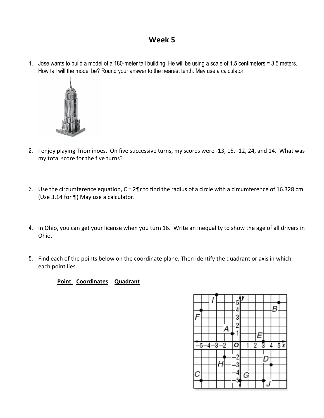1. Jose wants to build a model of a 180-meter tall building. He will be using a scale of 1.5 centimeters = 3.5 meters. How tall will the model be? Round your answer to the nearest tenth. May use a calculator.



- 2. I enjoy playing Triominoes. On five successive turns, my scores were -13, 15, -12, 24, and 14. What was my total score for the five turns?
- 3. Use the circumference equation,  $C = 2\P$ r to find the radius of a circle with a circumference of 16.328 cm. (Use  $3.14$  for  $\P$ ) May use a calculator.
- 4. In Ohio, you can get your license when you turn 16. Write an inequality to show the age of all drivers in Ohio.
- 5. Find each of the points below on the coordinate plane. Then identify the quadrant or axis in which each point lies.

#### **Point Coordinates Quadrant**

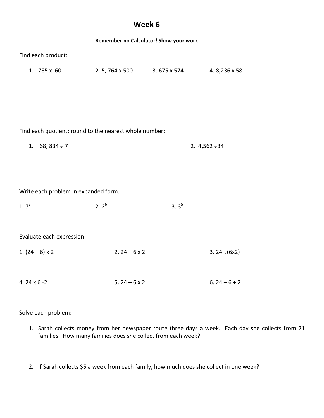|                                                        |                              | Remember no Calculator! Show your work! |                    |  |
|--------------------------------------------------------|------------------------------|-----------------------------------------|--------------------|--|
| Find each product:                                     |                              |                                         |                    |  |
| 1. 785 x 60                                            | 2. 5, 764 x 500 3. 675 x 574 |                                         | 4.8,236 x 58       |  |
|                                                        |                              |                                         |                    |  |
|                                                        |                              |                                         |                    |  |
|                                                        |                              |                                         |                    |  |
| Find each quotient; round to the nearest whole number: |                              |                                         |                    |  |
| 1. $68, 834 \div 7$                                    |                              |                                         | 2. $4,562 \div 34$ |  |
|                                                        |                              |                                         |                    |  |
|                                                        |                              |                                         |                    |  |
| Write each problem in expanded form.                   |                              |                                         |                    |  |
| 1.7 <sup>5</sup>                                       | $2.2^6$                      | $3.3^{5}$                               |                    |  |
|                                                        |                              |                                         |                    |  |
| Evaluate each expression:                              |                              |                                         |                    |  |
| 1. $(24-6) \times 2$                                   | 2. $24 \div 6 \times 2$      |                                         | 3. $24 \div (6x2)$ |  |
|                                                        |                              |                                         |                    |  |
| 4.24 $\times$ 6 -2                                     | 5.24 – $6 \times 2$          |                                         | $6.24 - 6 + 2$     |  |

Solve each problem:

- 1. Sarah collects money from her newspaper route three days a week. Each day she collects from 21 families. How many families does she collect from each week?
- 2. If Sarah collects \$5 a week from each family, how much does she collect in one week?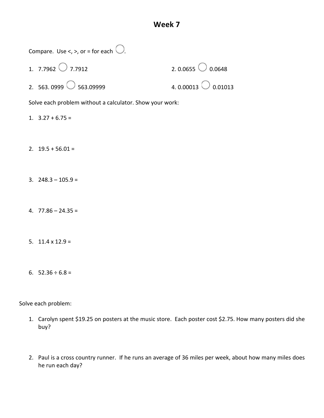| Compare. Use <, >, or = for each $\bigcup$ .             |                            |
|----------------------------------------------------------|----------------------------|
| 1. 7.7962 $\bigcirc$ 7.7912                              | 2.0.0655 $\bigcirc$ 0.0648 |
| 2. 563.0999 $\circ$ 563.09999                            | 4.0.00013 0.01013          |
| Solve each problem without a calculator. Show your work: |                            |
| 1. $3.27 + 6.75 =$                                       |                            |
|                                                          |                            |
| 2. $19.5 + 56.01 =$                                      |                            |
|                                                          |                            |
| 3. $248.3 - 105.9 =$                                     |                            |
|                                                          |                            |
| 4. $77.86 - 24.35 =$                                     |                            |
|                                                          |                            |
| 5. $11.4 \times 12.9 =$                                  |                            |
|                                                          |                            |
| 6. $52.36 \div 6.8 =$                                    |                            |

╲

Solve each problem:

- 1. Carolyn spent \$19.25 on posters at the music store. Each poster cost \$2.75. How many posters did she buy?
- 2. Paul is a cross country runner. If he runs an average of 36 miles per week, about how many miles does he run each day?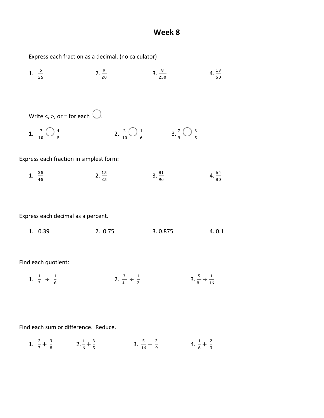$4.\frac{13}{50}$ 

Express each fraction as a decimal. (no calculator)

1.  $\frac{6}{25}$  $2.\frac{9}{20}$  $3.\frac{8}{250}$ Write  $\lt$ ,  $\gt$ , or = for each  $\bigcirc$ . 1.  $\frac{7}{10}$   $\bigcup \frac{4}{5}$ / 2.  $\frac{2}{10}$   $\bigcup \frac{1}{6}$  $\frac{1}{6}$   $3.\frac{7}{9}$   $\bigcirc$   $\frac{3}{5}$ /

#### Express each fraction in simplest form:

| ں ہے<br>$\overline{\phantom{a}}$<br>and the state of the state of the | --<br>$\sim$ | $\overline{\phantom{a}}$ | 64 |
|-----------------------------------------------------------------------|--------------|--------------------------|----|
| ᅩ.<br>-ተ-<br>$\sim$                                                   | . .          |                          | 80 |

Express each decimal as a percent.

| 1.0.39 | 2.0.75 | 3.0.875 | 4.0.1 |
|--------|--------|---------|-------|
|        |        |         |       |

Find each quotient:

1. 
$$
\frac{1}{3} \div \frac{1}{6}
$$
 2.  $\frac{3}{4} \div \frac{1}{2}$  3.  $\frac{5}{8} \div \frac{1}{16}$ 

Find each sum or difference. Reduce.

1. 
$$
\frac{2}{7} + \frac{3}{8}
$$
 2.  $\frac{1}{6} + \frac{3}{5}$  3.  $\frac{5}{16} - \frac{2}{9}$  4.  $\frac{1}{6} + \frac{2}{3}$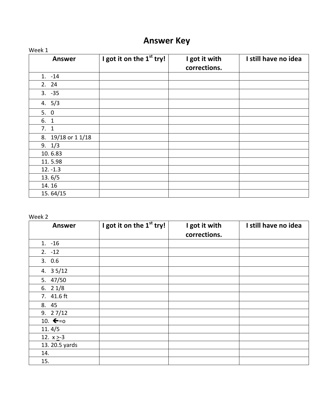# **Answer Key**

| Week 1             |                                      |                               |                      |
|--------------------|--------------------------------------|-------------------------------|----------------------|
| <b>Answer</b>      | I got it on the 1 <sup>st</sup> try! | I got it with<br>corrections. | I still have no idea |
| $1. -14$           |                                      |                               |                      |
| 2. 24              |                                      |                               |                      |
| $3. -35$           |                                      |                               |                      |
| 4.5/3              |                                      |                               |                      |
| 5.0                |                                      |                               |                      |
| 6. 1               |                                      |                               |                      |
| 7.1                |                                      |                               |                      |
| 8. 19/18 or 1 1/18 |                                      |                               |                      |
| 9.1/3              |                                      |                               |                      |
| 10.6.83            |                                      |                               |                      |
| 11.5.98            |                                      |                               |                      |
| $12. -1.3$         |                                      |                               |                      |
| 13.6/5             |                                      |                               |                      |
| 14.16              |                                      |                               |                      |
| 15.64/15           |                                      |                               |                      |

| <b>Answer</b>        | I got it on the 1 <sup>st</sup> try! | I got it with<br>corrections. | I still have no idea |
|----------------------|--------------------------------------|-------------------------------|----------------------|
| $1. -16$             |                                      |                               |                      |
| $2. -12$             |                                      |                               |                      |
| 3.0.6                |                                      |                               |                      |
| 4. $35/12$           |                                      |                               |                      |
| 5. 47/50             |                                      |                               |                      |
| 6. $21/8$            |                                      |                               |                      |
| 7. 41.6 ft           |                                      |                               |                      |
| 8. 45                |                                      |                               |                      |
| 9.27/12              |                                      |                               |                      |
| 10. $\leftarrow = 0$ |                                      |                               |                      |
| 11.4/5               |                                      |                               |                      |
| 12. $x \ge -3$       |                                      |                               |                      |
| 13. 20.5 yards       |                                      |                               |                      |
| 14.                  |                                      |                               |                      |
| 15.                  |                                      |                               |                      |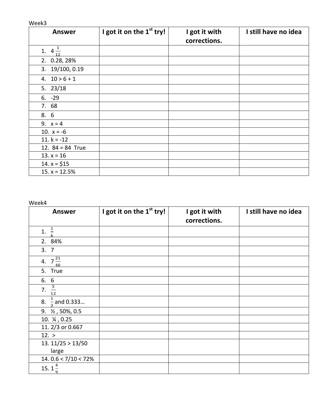| <b>Answer</b>      | I got it on the 1 <sup>st</sup> try! | I got it with | I still have no idea |
|--------------------|--------------------------------------|---------------|----------------------|
|                    |                                      | corrections.  |                      |
| 1. $4\frac{1}{12}$ |                                      |               |                      |
| 2. 0.28, 28%       |                                      |               |                      |
| 3. 19/100, 0.19    |                                      |               |                      |
| 4. $10 > 6 + 1$    |                                      |               |                      |
| 5. $23/18$         |                                      |               |                      |
| $6. -29$           |                                      |               |                      |
| 7. 68              |                                      |               |                      |
| 8. 6               |                                      |               |                      |
| 9. $x = 4$         |                                      |               |                      |
| 10. $x = -6$       |                                      |               |                      |
| 11. $k = -12$      |                                      |               |                      |
| 12. $84 = 84$ True |                                      |               |                      |
| 13. $x = 16$       |                                      |               |                      |
| 14. $x = $15$      |                                      |               |                      |
| 15. $x = 12.5%$    |                                      |               |                      |

| <b>Answer</b>                           | I got it on the 1 <sup>st</sup> try! | I got it with<br>corrections. | I still have no idea |
|-----------------------------------------|--------------------------------------|-------------------------------|----------------------|
| $\overline{1}$<br>1.                    |                                      |                               |                      |
| 2. 84%                                  |                                      |                               |                      |
| 3.7                                     |                                      |                               |                      |
| $7\frac{21}{40}$<br>4.                  |                                      |                               |                      |
| 5. True                                 |                                      |                               |                      |
| 6. 6                                    |                                      |                               |                      |
| $\frac{5}{12}$<br>7.                    |                                      |                               |                      |
| $\frac{1}{3}$ and 0.333<br>8.           |                                      |                               |                      |
| 9. 1/2, 50%, 0.5                        |                                      |                               |                      |
| 10. 14, 0.25                            |                                      |                               |                      |
| 11. 2/3 or 0.667                        |                                      |                               |                      |
| 12. >                                   |                                      |                               |                      |
| 13. 11/25 > 13/50                       |                                      |                               |                      |
| large                                   |                                      |                               |                      |
| 14. $0.6 < 7/10 < 72\%$                 |                                      |                               |                      |
| 15. $1^{\frac{4}{5}}$<br>$\overline{9}$ |                                      |                               |                      |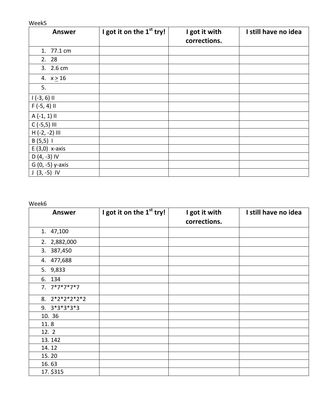| <b>Answer</b>    | I got it on the 1 <sup>st</sup> try! | I got it with<br>corrections. | I still have no idea |
|------------------|--------------------------------------|-------------------------------|----------------------|
| 1. 77.1 cm       |                                      |                               |                      |
| 2. 28            |                                      |                               |                      |
| 3. 2.6 cm        |                                      |                               |                      |
| 4. $x \ge 16$    |                                      |                               |                      |
| 5.               |                                      |                               |                      |
| $1(-3, 6)$ II    |                                      |                               |                      |
| $F(-5, 4)$ II    |                                      |                               |                      |
| $A(-1, 1)$ II    |                                      |                               |                      |
| $C$ (-5,5) III   |                                      |                               |                      |
| $H(-2, -2)$ III  |                                      |                               |                      |
| $B(5,5)$ 1       |                                      |                               |                      |
| $E(3,0)$ x-axis  |                                      |                               |                      |
| $D(4, -3)$ IV    |                                      |                               |                      |
| G (0, -5) y-axis |                                      |                               |                      |
| $J(3, -5)$ IV    |                                      |                               |                      |

| <b>Answer</b>    | I got it on the 1 <sup>st</sup> try! | I got it with<br>corrections. | I still have no idea |
|------------------|--------------------------------------|-------------------------------|----------------------|
| 1. 47,100        |                                      |                               |                      |
| 2. 2,882,000     |                                      |                               |                      |
| 3. 387,450       |                                      |                               |                      |
| 4. 477,688       |                                      |                               |                      |
| 5. 9,833         |                                      |                               |                      |
| 6. 134           |                                      |                               |                      |
| $7.7*7*7*7*7$    |                                      |                               |                      |
| 8. $2*2*2*2*2*2$ |                                      |                               |                      |
| $9.3*3*3*3*3$    |                                      |                               |                      |
| 10. 36           |                                      |                               |                      |
| 11.8             |                                      |                               |                      |
| 12. 2            |                                      |                               |                      |
| 13.142           |                                      |                               |                      |
| 14.12            |                                      |                               |                      |
| 15.20            |                                      |                               |                      |
| 16.63            |                                      |                               |                      |
| 17. \$315        |                                      |                               |                      |